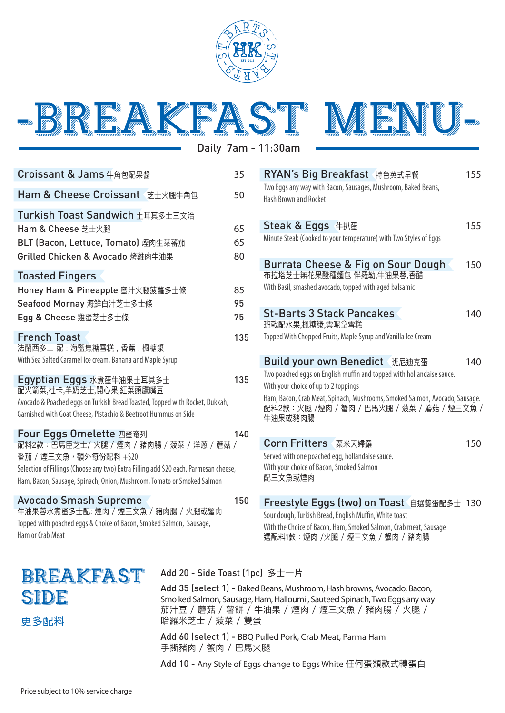

-BREAKFA

Daily 7am - 11:30am

| Croissant & Jams 牛角包配果醬                                                              | 35  |
|--------------------------------------------------------------------------------------|-----|
| Ham & Cheese Croissant 芝士火腿牛角包                                                       | 50  |
| Turkish Toast Sandwich 土耳其多土三文治                                                      |     |
| Ham & Cheese 芝士火腿                                                                    | 65  |
| BLT (Bacon, Lettuce, Tomato) 煙肉生菜蕃茄                                                  | 65  |
| Grilled Chicken & Avocado 烤雞肉牛油果                                                     | 80  |
| <b>Toasted Fingers</b>                                                               |     |
| Honey Ham & Pineapple 蜜汁火腿菠蘿多士條                                                      | 85  |
| Seafood Mornay 海鮮白汁芝士多士條                                                             | 95  |
| Egg & Cheese 雞蛋芝士多士條                                                                 | 75  |
| <b>French Toast</b>                                                                  | 135 |
| 法蘭西多士 配:海盬焦糖雪糕,香蕉,楓糖漿                                                                |     |
| With Sea Salted Caramel Ice cream, Banana and Maple Syrup                            |     |
| Egyptian Eggs 水煮蛋牛油果土耳其多士<br>配火箭菜,杜卡,羊奶芝士,開心果,紅菜頭鷹嘴豆                                 | 135 |
| Avocado & Poached eggs on Turkish Bread Toasted, Topped with Rocket, Dukkah,         |     |
| Garnished with Goat Cheese, Pistachio & Beetroot Hummus on Side                      |     |
| Four Eggs Omelette 四蛋奄列<br>配料2款:巴馬臣芝士/火腿 / 煙肉 / 豬肉腸 / 菠菜 / 洋蔥 / 蘑菇 /                 | 140 |
| 番茄 / 煙三文魚,額外每份配料 +\$20                                                               |     |
| Selection of Fillings (Choose any two) Extra Filling add \$20 each, Parmesan cheese, |     |
| Ham, Bacon, Sausage, Spinach, Onion, Mushroom, Tomato or Smoked Salmon               |     |
| <b>Avocado Smash Supreme</b>                                                         | 150 |
| 牛油果蓉水煮蛋多士配: 煙肉 / 煙三文魚 / 豬肉腸 / 火腿或蟹肉                                                  |     |

| Burrata Cheese & Fig on Sour Dough<br>布拉塔芝士無花果酸種麵包 伴羅勒,牛油果蓉,香醋<br>With Basil, smashed avocado, topped with aged balsamic                                                                                                                                                    | 150 |
|-----------------------------------------------------------------------------------------------------------------------------------------------------------------------------------------------------------------------------------------------------------------------------|-----|
| <b>St-Barts 3 Stack Pancakes</b><br>班戟配水果,楓糖漿,雲呢拿雪糕<br>Topped With Chopped Fruits, Maple Syrup and Vanilla Ice Cream                                                                                                                                                        | 140 |
| Build your own Benedict 班尼迪克蛋<br>Two poached eggs on English muffin and topped with hollandaise sauce.<br>With your choice of up to 2 toppings<br>Ham, Bacon, Crab Meat, Spinach, Mushrooms, Smoked Salmon, Avocado, Sausage.<br>配料2款:火腿 /煙肉 / 蟹肉 / 巴馬火腿 / 菠菜 / 蘑菇 / 煙三文魚 / | 140 |
| 牛油果或豬肉腸<br>Corn Fritters 粟米天婦羅<br>Served with one poached egg, hollandaise sauce.                                                                                                                                                                                           | 150 |
| With your choice of Bacon, Smoked Salmon<br>配三文魚或煙肉<br>Freestyle Eggs (two) on Toast 自選雙蛋配多士 130                                                                                                                                                                            |     |

**RYAN's Big Breakfast 特色英式早餐 155** 

Steak & Eggs 牛扒蛋 155

Two Eggs any way with Bacon, Sausages, Mushroom, Baked Beans,

Minute Steak (Cooked to your temperature) with Two Styles of Eggs

Hash Brown and Rocket

Topped with poached eggs & Choice of Bacon, Smoked Salmon, Sausage, Ham or Crab Meat

| BREAKFAST |  |
|-----------|--|
| SIDE      |  |
| 更多配料      |  |

## Add 20 - Side Toast (1pc) 多士一片

Add 35 (select 1) - Baked Beans, Mushroom, Hash browns, Avocado, Bacon, Smo ked Salmon, Sausage, Ham, Halloumi , Sauteed Spinach, Two Eggs any way 茄汁豆 / 蘑菇 / 薯餅 / 牛油果 / 煙肉 / 煙三文魚 / 豬肉腸 / 火腿 / 哈羅米芝士 / 菠菜 / 雙蛋

Sour dough, Turkish Bread, English Muffin, White toast

With the Choice of Bacon, Ham, Smoked Salmon, Crab meat, Sausage 選配料1款:煙肉 /火腿 / 煙三文魚 / 蟹肉 / 豬肉腸

Add 60 (select 1) - BBQ Pulled Pork, Crab Meat, Parma Ham 手撕豬肉 / 蟹肉 / 巴馬火腿

Add 10 - Any Style of Eggs change to Eggs White 任何蛋類款式轉蛋白